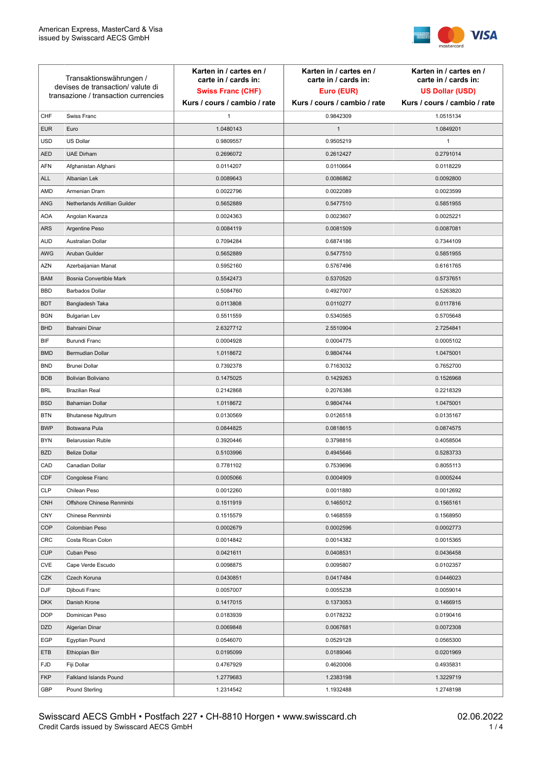

| Transaktionswährungen /<br>devises de transaction/valute di<br>transazione / transaction currencies |                               | Karten in / cartes en /<br>carte in / cards in:<br><b>Swiss Franc (CHF)</b> | Karten in / cartes en /<br>carte in / cards in:<br>Euro (EUR) | Karten in / cartes en /<br>carte in / cards in:<br><b>US Dollar (USD)</b> |
|-----------------------------------------------------------------------------------------------------|-------------------------------|-----------------------------------------------------------------------------|---------------------------------------------------------------|---------------------------------------------------------------------------|
|                                                                                                     |                               | Kurs / cours / cambio / rate                                                | Kurs / cours / cambio / rate                                  | Kurs / cours / cambio / rate                                              |
| CHF                                                                                                 | Swiss Franc                   | 1                                                                           | 0.9842309                                                     | 1.0515134                                                                 |
| <b>EUR</b>                                                                                          | Euro                          | 1.0480143                                                                   | $\mathbf{1}$                                                  | 1.0849201                                                                 |
| <b>USD</b>                                                                                          | US Dollar                     | 0.9809557                                                                   | 0.9505219                                                     | $\mathbf{1}$                                                              |
| <b>AED</b>                                                                                          | <b>UAE Dirham</b>             | 0.2696072                                                                   | 0.2612427                                                     | 0.2791014                                                                 |
| <b>AFN</b>                                                                                          | Afghanistan Afghani           | 0.0114207                                                                   | 0.0110664                                                     | 0.0118229                                                                 |
| ALL                                                                                                 | Albanian Lek                  | 0.0089643                                                                   | 0.0086862                                                     | 0.0092800                                                                 |
| AMD                                                                                                 | Armenian Dram                 | 0.0022796                                                                   | 0.0022089                                                     | 0.0023599                                                                 |
| ANG                                                                                                 | Netherlands Antillian Guilder | 0.5652889                                                                   | 0.5477510                                                     | 0.5851955                                                                 |
| <b>AOA</b>                                                                                          | Angolan Kwanza                | 0.0024363                                                                   | 0.0023607                                                     | 0.0025221                                                                 |
| ARS                                                                                                 | Argentine Peso                | 0.0084119                                                                   | 0.0081509                                                     | 0.0087081                                                                 |
| <b>AUD</b>                                                                                          | Australian Dollar             | 0.7094284                                                                   | 0.6874186                                                     | 0.7344109                                                                 |
| AWG                                                                                                 | Aruban Guilder                | 0.5652889                                                                   | 0.5477510                                                     | 0.5851955                                                                 |
| AZN                                                                                                 | Azerbaijanian Manat           | 0.5952160                                                                   | 0.5767496                                                     | 0.6161765                                                                 |
| <b>BAM</b>                                                                                          | Bosnia Convertible Mark       | 0.5542473                                                                   | 0.5370520                                                     | 0.5737651                                                                 |
| <b>BBD</b>                                                                                          | <b>Barbados Dollar</b>        | 0.5084760                                                                   | 0.4927007                                                     | 0.5263820                                                                 |
| <b>BDT</b>                                                                                          | Bangladesh Taka               | 0.0113808                                                                   | 0.0110277                                                     | 0.0117816                                                                 |
| <b>BGN</b>                                                                                          | <b>Bulgarian Lev</b>          | 0.5511559                                                                   | 0.5340565                                                     | 0.5705648                                                                 |
| <b>BHD</b>                                                                                          | Bahraini Dinar                | 2.6327712                                                                   | 2.5510904                                                     | 2.7254841                                                                 |
| BIF                                                                                                 | Burundi Franc                 | 0.0004928                                                                   | 0.0004775                                                     | 0.0005102                                                                 |
| <b>BMD</b>                                                                                          | Bermudian Dollar              | 1.0118672                                                                   | 0.9804744                                                     | 1.0475001                                                                 |
| <b>BND</b>                                                                                          | <b>Brunei Dollar</b>          | 0.7392378                                                                   | 0.7163032                                                     | 0.7652700                                                                 |
| <b>BOB</b>                                                                                          | Bolivian Boliviano            | 0.1475025                                                                   | 0.1429263                                                     | 0.1526968                                                                 |
| <b>BRL</b>                                                                                          | <b>Brazilian Real</b>         | 0.2142868                                                                   | 0.2076386                                                     | 0.2218329                                                                 |
| <b>BSD</b>                                                                                          | <b>Bahamian Dollar</b>        | 1.0118672                                                                   | 0.9804744                                                     | 1.0475001                                                                 |
| <b>BTN</b>                                                                                          | <b>Bhutanese Ngultrum</b>     | 0.0130569                                                                   | 0.0126518                                                     | 0.0135167                                                                 |
| <b>BWP</b>                                                                                          | Botswana Pula                 | 0.0844825                                                                   | 0.0818615                                                     | 0.0874575                                                                 |
| <b>BYN</b>                                                                                          | Belarussian Ruble             | 0.3920446                                                                   | 0.3798816                                                     | 0.4058504                                                                 |
| <b>BZD</b>                                                                                          | <b>Belize Dollar</b>          | 0.5103996                                                                   | 0.4945646                                                     | 0.5283733                                                                 |
| CAD                                                                                                 | Canadian Dollar               | 0.7781102                                                                   | 0.7539696                                                     | 0.8055113                                                                 |
| CDF                                                                                                 | Congolese Franc               | 0.0005066                                                                   | 0.0004909                                                     | 0.0005244                                                                 |
| <b>CLP</b>                                                                                          | Chilean Peso                  | 0.0012260                                                                   | 0.0011880                                                     | 0.0012692                                                                 |
| <b>CNH</b>                                                                                          | Offshore Chinese Renminbi     | 0.1511919                                                                   | 0.1465012                                                     | 0.1565161                                                                 |
| <b>CNY</b>                                                                                          | Chinese Renminbi              | 0.1515579                                                                   | 0.1468559                                                     | 0.1568950                                                                 |
| <b>COP</b>                                                                                          | Colombian Peso                | 0.0002679                                                                   | 0.0002596                                                     | 0.0002773                                                                 |
| CRC                                                                                                 | Costa Rican Colon             | 0.0014842                                                                   | 0.0014382                                                     | 0.0015365                                                                 |
| <b>CUP</b>                                                                                          | Cuban Peso                    | 0.0421611                                                                   | 0.0408531                                                     | 0.0436458                                                                 |
| CVE                                                                                                 | Cape Verde Escudo             | 0.0098875                                                                   | 0.0095807                                                     | 0.0102357                                                                 |
| CZK                                                                                                 | Czech Koruna                  | 0.0430851                                                                   | 0.0417484                                                     | 0.0446023                                                                 |
| DJF                                                                                                 | Djibouti Franc                | 0.0057007                                                                   | 0.0055238                                                     | 0.0059014                                                                 |
| <b>DKK</b>                                                                                          | Danish Krone                  | 0.1417015                                                                   | 0.1373053                                                     | 0.1466915                                                                 |
| <b>DOP</b>                                                                                          | Dominican Peso                | 0.0183939                                                                   | 0.0178232                                                     | 0.0190416                                                                 |
| <b>DZD</b>                                                                                          | Algerian Dinar                | 0.0069848                                                                   | 0.0067681                                                     | 0.0072308                                                                 |
| EGP                                                                                                 | Egyptian Pound                | 0.0546070                                                                   | 0.0529128                                                     | 0.0565300                                                                 |
| ETB                                                                                                 | Ethiopian Birr                | 0.0195099                                                                   | 0.0189046                                                     | 0.0201969                                                                 |
| <b>FJD</b>                                                                                          | Fiji Dollar                   | 0.4767929                                                                   | 0.4620006                                                     | 0.4935831                                                                 |
| <b>FKP</b>                                                                                          | Falkland Islands Pound        | 1.2779683                                                                   | 1.2383198                                                     | 1.3229719                                                                 |
| GBP                                                                                                 | Pound Sterling                | 1.2314542                                                                   | 1.1932488                                                     | 1.2748198                                                                 |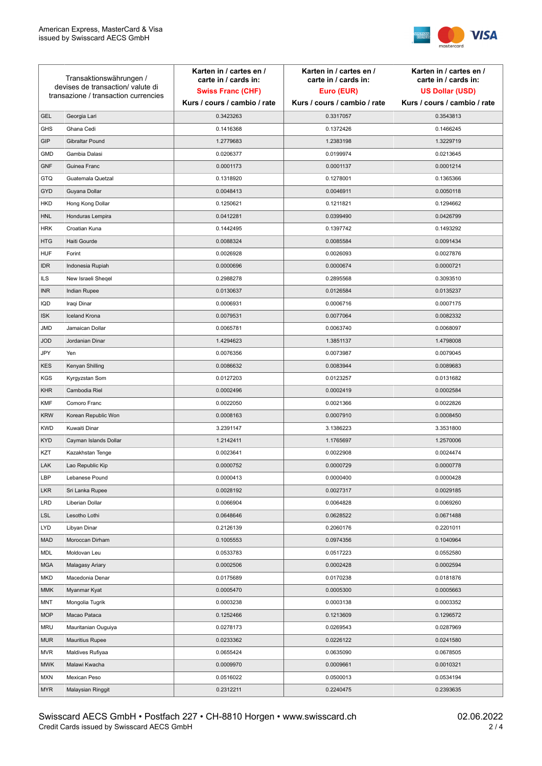

| Transaktionswährungen /<br>devises de transaction/valute di<br>transazione / transaction currencies |                        | Karten in / cartes en /<br>carte in / cards in: | Karten in / cartes en /<br>carte in / cards in: | Karten in / cartes en /<br>carte in / cards in: |
|-----------------------------------------------------------------------------------------------------|------------------------|-------------------------------------------------|-------------------------------------------------|-------------------------------------------------|
|                                                                                                     |                        | <b>Swiss Franc (CHF)</b>                        | Euro (EUR)                                      | <b>US Dollar (USD)</b>                          |
|                                                                                                     |                        | Kurs / cours / cambio / rate                    | Kurs / cours / cambio / rate                    | Kurs / cours / cambio / rate                    |
| <b>GEL</b>                                                                                          | Georgia Lari           | 0.3423263                                       | 0.3317057                                       | 0.3543813                                       |
| <b>GHS</b>                                                                                          | Ghana Cedi             | 0.1416368                                       | 0.1372426                                       | 0.1466245                                       |
| GIP                                                                                                 | Gibraltar Pound        | 1.2779683                                       | 1.2383198                                       | 1.3229719                                       |
| <b>GMD</b>                                                                                          | Gambia Dalasi          | 0.0206377                                       | 0.0199974                                       | 0.0213645                                       |
| <b>GNF</b>                                                                                          | Guinea Franc           | 0.0001173                                       | 0.0001137                                       | 0.0001214                                       |
| <b>GTQ</b>                                                                                          | Guatemala Quetzal      | 0.1318920                                       | 0.1278001                                       | 0.1365366                                       |
| GYD                                                                                                 | Guyana Dollar          | 0.0048413                                       | 0.0046911                                       | 0.0050118                                       |
| <b>HKD</b>                                                                                          | Hong Kong Dollar       | 0.1250621                                       | 0.1211821                                       | 0.1294662                                       |
| <b>HNL</b>                                                                                          | Honduras Lempira       | 0.0412281                                       | 0.0399490                                       | 0.0426799                                       |
| <b>HRK</b>                                                                                          | Croatian Kuna          | 0.1442495                                       | 0.1397742                                       | 0.1493292                                       |
| <b>HTG</b>                                                                                          | Haiti Gourde           | 0.0088324                                       | 0.0085584                                       | 0.0091434                                       |
| <b>HUF</b>                                                                                          | Forint                 | 0.0026928                                       | 0.0026093                                       | 0.0027876                                       |
| <b>IDR</b>                                                                                          | Indonesia Rupiah       | 0.0000696                                       | 0.0000674                                       | 0.0000721                                       |
| ILS                                                                                                 | New Israeli Sheqel     | 0.2988278                                       | 0.2895568                                       | 0.3093510                                       |
| <b>INR</b>                                                                                          | Indian Rupee           | 0.0130637                                       | 0.0126584                                       | 0.0135237                                       |
| IQD                                                                                                 | Iraqi Dinar            | 0.0006931                                       | 0.0006716                                       | 0.0007175                                       |
| <b>ISK</b>                                                                                          | <b>Iceland Krona</b>   | 0.0079531                                       | 0.0077064                                       | 0.0082332                                       |
| JMD                                                                                                 | Jamaican Dollar        | 0.0065781                                       | 0.0063740                                       | 0.0068097                                       |
| <b>JOD</b>                                                                                          | Jordanian Dinar        | 1.4294623                                       | 1.3851137                                       | 1.4798008                                       |
| JPY                                                                                                 | Yen                    | 0.0076356                                       | 0.0073987                                       | 0.0079045                                       |
| <b>KES</b>                                                                                          | Kenyan Shilling        | 0.0086632                                       | 0.0083944                                       | 0.0089683                                       |
| <b>KGS</b>                                                                                          | Kyrgyzstan Som         | 0.0127203                                       | 0.0123257                                       | 0.0131682                                       |
| <b>KHR</b>                                                                                          | Cambodia Riel          | 0.0002496                                       | 0.0002419                                       | 0.0002584                                       |
| <b>KMF</b>                                                                                          | Comoro Franc           | 0.0022050                                       | 0.0021366                                       | 0.0022826                                       |
| <b>KRW</b>                                                                                          | Korean Republic Won    | 0.0008163                                       | 0.0007910                                       | 0.0008450                                       |
| <b>KWD</b>                                                                                          | Kuwaiti Dinar          | 3.2391147                                       | 3.1386223                                       | 3.3531800                                       |
| <b>KYD</b>                                                                                          | Cayman Islands Dollar  | 1.2142411                                       | 1.1765697                                       | 1.2570006                                       |
| KZT                                                                                                 | Kazakhstan Tenge       | 0.0023641                                       | 0.0022908                                       | 0.0024474                                       |
| LAK                                                                                                 | Lao Republic Kip       | 0.0000752                                       | 0.0000729                                       | 0.0000778                                       |
| LBP                                                                                                 | Lebanese Pound         | 0.0000413                                       | 0.0000400                                       | 0.0000428                                       |
| <b>LKR</b>                                                                                          | Sri Lanka Rupee        | 0.0028192                                       | 0.0027317                                       | 0.0029185                                       |
| <b>LRD</b>                                                                                          | Liberian Dollar        | 0.0066904                                       | 0.0064828                                       | 0.0069260                                       |
| <b>LSL</b>                                                                                          | Lesotho Lothi          | 0.0648646                                       | 0.0628522                                       | 0.0671488                                       |
| LYD                                                                                                 | Libyan Dinar           | 0.2126139                                       | 0.2060176                                       | 0.2201011                                       |
| <b>MAD</b>                                                                                          | Moroccan Dirham        | 0.1005553                                       | 0.0974356                                       | 0.1040964                                       |
| MDL                                                                                                 | Moldovan Leu           | 0.0533783                                       | 0.0517223                                       | 0.0552580                                       |
| <b>MGA</b>                                                                                          | Malagasy Ariary        | 0.0002506                                       | 0.0002428                                       | 0.0002594                                       |
| <b>MKD</b>                                                                                          | Macedonia Denar        | 0.0175689                                       | 0.0170238                                       | 0.0181876                                       |
| MMK                                                                                                 | Myanmar Kyat           | 0.0005470                                       | 0.0005300                                       | 0.0005663                                       |
| MNT                                                                                                 | Mongolia Tugrik        | 0.0003238                                       | 0.0003138                                       | 0.0003352                                       |
| <b>MOP</b>                                                                                          | Macao Pataca           | 0.1252466                                       | 0.1213609                                       | 0.1296572                                       |
| <b>MRU</b>                                                                                          | Mauritanian Ouguiya    | 0.0278173                                       | 0.0269543                                       | 0.0287969                                       |
| <b>MUR</b>                                                                                          | <b>Mauritius Rupee</b> | 0.0233362                                       | 0.0226122                                       | 0.0241580                                       |
| <b>MVR</b>                                                                                          | Maldives Rufiyaa       | 0.0655424                                       | 0.0635090                                       | 0.0678505                                       |
| <b>MWK</b>                                                                                          | Malawi Kwacha          | 0.0009970                                       | 0.0009661                                       | 0.0010321                                       |
| <b>MXN</b>                                                                                          | Mexican Peso           | 0.0516022                                       | 0.0500013                                       | 0.0534194                                       |
| <b>MYR</b>                                                                                          | Malaysian Ringgit      | 0.2312211                                       | 0.2240475                                       | 0.2393635                                       |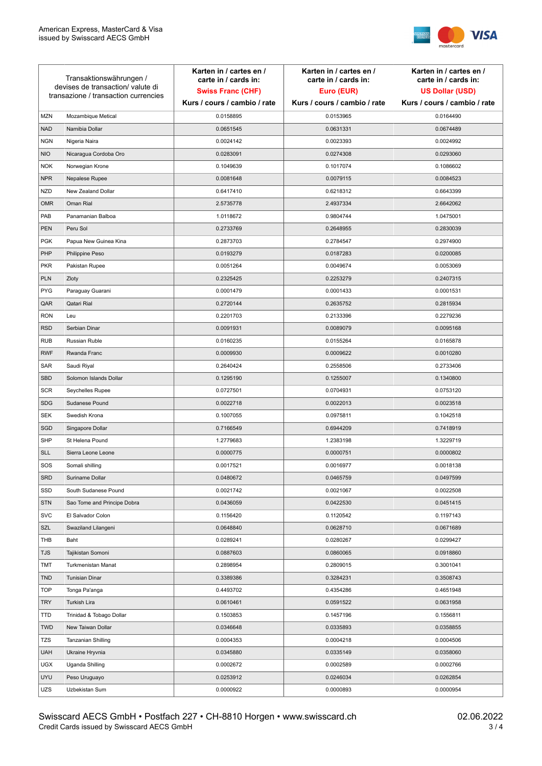

| Transaktionswährungen /<br>devises de transaction/valute di<br>transazione / transaction currencies |                             | Karten in / cartes en /<br>carte in / cards in:<br><b>Swiss Franc (CHF)</b> | Karten in / cartes en /<br>carte in / cards in:<br>Euro (EUR) | Karten in / cartes en /<br>carte in / cards in:<br><b>US Dollar (USD)</b> |
|-----------------------------------------------------------------------------------------------------|-----------------------------|-----------------------------------------------------------------------------|---------------------------------------------------------------|---------------------------------------------------------------------------|
|                                                                                                     |                             | Kurs / cours / cambio / rate                                                | Kurs / cours / cambio / rate                                  | Kurs / cours / cambio / rate                                              |
| <b>MZN</b>                                                                                          | Mozambique Metical          | 0.0158895                                                                   | 0.0153965                                                     | 0.0164490                                                                 |
| <b>NAD</b>                                                                                          | Namibia Dollar              | 0.0651545                                                                   | 0.0631331                                                     | 0.0674489                                                                 |
| <b>NGN</b>                                                                                          | Nigeria Naira               | 0.0024142                                                                   | 0.0023393                                                     | 0.0024992                                                                 |
| <b>NIO</b>                                                                                          | Nicaragua Cordoba Oro       | 0.0283091                                                                   | 0.0274308                                                     | 0.0293060                                                                 |
| <b>NOK</b>                                                                                          | Norwegian Krone             | 0.1049639                                                                   | 0.1017074                                                     | 0.1086602                                                                 |
| <b>NPR</b>                                                                                          | Nepalese Rupee              | 0.0081648                                                                   | 0.0079115                                                     | 0.0084523                                                                 |
| <b>NZD</b>                                                                                          | New Zealand Dollar          | 0.6417410                                                                   | 0.6218312                                                     | 0.6643399                                                                 |
| <b>OMR</b>                                                                                          | Oman Rial                   | 2.5735778                                                                   | 2.4937334                                                     | 2.6642062                                                                 |
| PAB                                                                                                 | Panamanian Balboa           | 1.0118672                                                                   | 0.9804744                                                     | 1.0475001                                                                 |
| <b>PEN</b>                                                                                          | Peru Sol                    | 0.2733769                                                                   | 0.2648955                                                     | 0.2830039                                                                 |
| <b>PGK</b>                                                                                          | Papua New Guinea Kina       | 0.2873703                                                                   | 0.2784547                                                     | 0.2974900                                                                 |
| PHP                                                                                                 | Philippine Peso             | 0.0193279                                                                   | 0.0187283                                                     | 0.0200085                                                                 |
| <b>PKR</b>                                                                                          | Pakistan Rupee              | 0.0051264                                                                   | 0.0049674                                                     | 0.0053069                                                                 |
| <b>PLN</b>                                                                                          | Zloty                       | 0.2325425                                                                   | 0.2253279                                                     | 0.2407315                                                                 |
| <b>PYG</b>                                                                                          | Paraguay Guarani            | 0.0001479                                                                   | 0.0001433                                                     | 0.0001531                                                                 |
| QAR                                                                                                 | Qatari Rial                 | 0.2720144                                                                   | 0.2635752                                                     | 0.2815934                                                                 |
| <b>RON</b>                                                                                          | Leu                         | 0.2201703                                                                   | 0.2133396                                                     | 0.2279236                                                                 |
| <b>RSD</b>                                                                                          | Serbian Dinar               | 0.0091931                                                                   | 0.0089079                                                     | 0.0095168                                                                 |
| <b>RUB</b>                                                                                          | Russian Ruble               | 0.0160235                                                                   | 0.0155264                                                     | 0.0165878                                                                 |
| <b>RWF</b>                                                                                          | Rwanda Franc                | 0.0009930                                                                   | 0.0009622                                                     | 0.0010280                                                                 |
| SAR                                                                                                 | Saudi Riyal                 | 0.2640424                                                                   | 0.2558506                                                     | 0.2733406                                                                 |
| <b>SBD</b>                                                                                          | Solomon Islands Dollar      | 0.1295190                                                                   | 0.1255007                                                     | 0.1340800                                                                 |
| <b>SCR</b>                                                                                          | Seychelles Rupee            | 0.0727501                                                                   | 0.0704931                                                     | 0.0753120                                                                 |
| <b>SDG</b>                                                                                          | Sudanese Pound              | 0.0022718                                                                   | 0.0022013                                                     | 0.0023518                                                                 |
| SEK                                                                                                 | Swedish Krona               | 0.1007055                                                                   | 0.0975811                                                     | 0.1042518                                                                 |
| SGD                                                                                                 | Singapore Dollar            | 0.7166549                                                                   | 0.6944209                                                     | 0.7418919                                                                 |
| <b>SHP</b>                                                                                          | St Helena Pound             | 1.2779683                                                                   | 1.2383198                                                     | 1.3229719                                                                 |
| <b>SLL</b>                                                                                          | Sierra Leone Leone          | 0.0000775                                                                   | 0.0000751                                                     | 0.0000802                                                                 |
| SOS                                                                                                 | Somali shilling             | 0.0017521                                                                   | 0.0016977                                                     | 0.0018138                                                                 |
| <b>SRD</b>                                                                                          | Suriname Dollar             | 0.0480672                                                                   | 0.0465759                                                     | 0.0497599                                                                 |
| SSD                                                                                                 | South Sudanese Pound        | 0.0021742                                                                   | 0.0021067                                                     | 0.0022508                                                                 |
| <b>STN</b>                                                                                          | Sao Tome and Principe Dobra | 0.0436059                                                                   | 0.0422530                                                     | 0.0451415                                                                 |
| <b>SVC</b>                                                                                          | El Salvador Colon           | 0.1156420                                                                   | 0.1120542                                                     | 0.1197143                                                                 |
| <b>SZL</b>                                                                                          | Swaziland Lilangeni         | 0.0648840                                                                   | 0.0628710                                                     | 0.0671689                                                                 |
| THB                                                                                                 | Baht                        | 0.0289241                                                                   | 0.0280267                                                     | 0.0299427                                                                 |
| <b>TJS</b>                                                                                          | Tajikistan Somoni           | 0.0887603                                                                   | 0.0860065                                                     | 0.0918860                                                                 |
| TMT                                                                                                 | Turkmenistan Manat          | 0.2898954                                                                   | 0.2809015                                                     | 0.3001041                                                                 |
| <b>TND</b>                                                                                          | <b>Tunisian Dinar</b>       | 0.3389386                                                                   | 0.3284231                                                     | 0.3508743                                                                 |
| <b>TOP</b>                                                                                          | Tonga Pa'anga               | 0.4493702                                                                   | 0.4354286                                                     | 0.4651948                                                                 |
| <b>TRY</b>                                                                                          | Turkish Lira                | 0.0610461                                                                   | 0.0591522                                                     | 0.0631958                                                                 |
| <b>TTD</b>                                                                                          | Trinidad & Tobago Dollar    | 0.1503853                                                                   | 0.1457196                                                     | 0.1556811                                                                 |
| <b>TWD</b>                                                                                          | New Taiwan Dollar           | 0.0346648                                                                   | 0.0335893                                                     | 0.0358855                                                                 |
| TZS                                                                                                 | Tanzanian Shilling          | 0.0004353                                                                   | 0.0004218                                                     | 0.0004506                                                                 |
| <b>UAH</b>                                                                                          | Ukraine Hryvnia             | 0.0345880                                                                   | 0.0335149                                                     | 0.0358060                                                                 |
| <b>UGX</b>                                                                                          | Uganda Shilling             | 0.0002672                                                                   | 0.0002589                                                     | 0.0002766                                                                 |
| <b>UYU</b>                                                                                          | Peso Uruguayo               | 0.0253912                                                                   | 0.0246034                                                     | 0.0262854                                                                 |
| UZS                                                                                                 | Uzbekistan Sum              | 0.0000922                                                                   | 0.0000893                                                     | 0.0000954                                                                 |